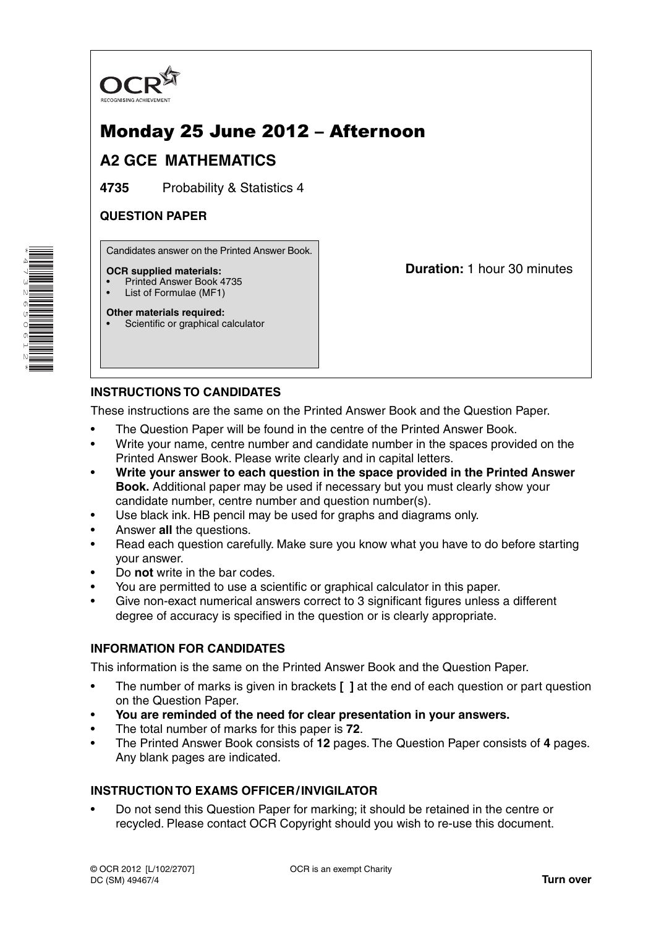

# Monday 25 June 2012 – Afternoon

# **A2 GCE MATHEMATICS**

**4735** Probability & Statistics 4

## **QUESTION PAPER**

Candidates answer on the Printed Answer Book.

#### **OCR supplied materials:**

- Printed Answer Book 4735
- List of Formulae (MF1)

**Other materials required:**

Scientific or graphical calculator

**Duration:** 1 hour 30 minutes

# **INSTRUCTIONS TO CANDIDATES**

These instructions are the same on the Printed Answer Book and the Question Paper.

- The Question Paper will be found in the centre of the Printed Answer Book.
- Write your name, centre number and candidate number in the spaces provided on the Printed Answer Book. Please write clearly and in capital letters.
- **Write your answer to each question in the space provided in the Printed Answer Book.** Additional paper may be used if necessary but you must clearly show your candidate number, centre number and question number(s).
- Use black ink. HB pencil may be used for graphs and diagrams only.
- Answer **all** the questions.
- Read each question carefully. Make sure you know what you have to do before starting your answer.
- Do **not** write in the bar codes.
- You are permitted to use a scientific or graphical calculator in this paper.
- Give non-exact numerical answers correct to 3 significant figures unless a different degree of accuracy is specified in the question or is clearly appropriate.

### **INFORMATION FOR CANDIDATES**

This information is the same on the Printed Answer Book and the Question Paper.

- The number of marks is given in brackets **[ ]** at the end of each question or part question on the Question Paper.
- **You are reminded of the need for clear presentation in your answers.**
- The total number of marks for this paper is **72**.
- The Printed Answer Book consists of **12** pages. The Question Paper consists of **4** pages. Any blank pages are indicated.

## **INSTRUCTION TO EXAMS OFFICER / INVIGILATOR**

• Do not send this Question Paper for marking; it should be retained in the centre or recycled. Please contact OCR Copyright should you wish to re-use this document.

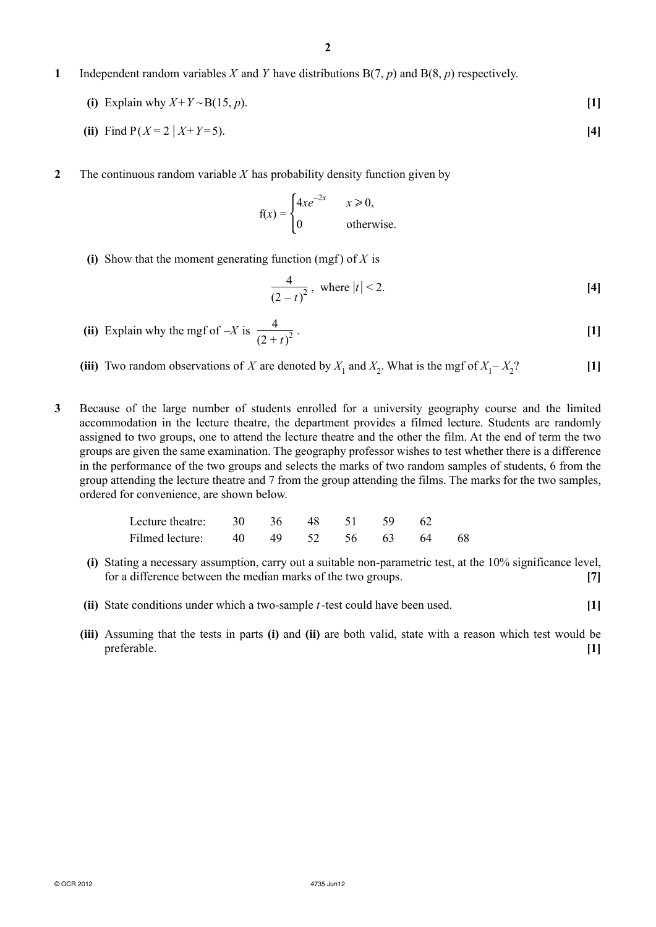- **1** Independent random variables *X* and *Y* have distributions B(7, *p*) and B(8, *p*) respectively.
	- **(i)** Explain why  $X + Y \sim B(15, p)$ . [1]
- **(ii)** Find  $P(X=2 | X+Y=5)$ . [4]
- **2** The continuous random variable *X* has probability density function given by

$$
f(x) = \begin{cases} 4xe^{-2x} & x \ge 0, \\ 0 & \text{otherwise.} \end{cases}
$$

**(i)** Show that the moment generating function (mgf) of  $X$  is

$$
\frac{4}{(2-t)^2}, \text{ where } |t| < 2. \tag{4}
$$

- **(ii)** Explain why the mgf of  $-X$  is  $\frac{4}{10}$  $(2 + t)$  $\frac{1}{2}$  . [1]
- (iii) Two random observations of *X* are denoted by  $X_1$  and  $X_2$ . What is the mgf of  $X_1 X_2$ ? **[1]**
- **3** Because of the large number of students enrolled for a university geography course and the limited accommodation in the lecture theatre, the department provides a filmed lecture. Students are randomly assigned to two groups, one to attend the lecture theatre and the other the film. At the end of term the two groups are given the same examination. The geography professor wishes to test whether there is a difference in the performance of the two groups and selects the marks of two random samples of students, 6 from the group attending the lecture theatre and 7 from the group attending the films. The marks for the two samples, ordered for convenience, are shown below.

| Lecture theatre: 30 36 48 51 59 62   |  |  |  |  |
|--------------------------------------|--|--|--|--|
| Filmed lecture: 40 49 52 56 63 64 68 |  |  |  |  |

- **(i)** Stating a necessary assumption, carry out a suitable non-parametric test, at the 10% significance level, for a difference between the median marks of the two groups. **[7]**
- **(ii)** State conditions under which a two-sample *t* -test could have been used. **[1]**
- **(iii)** Assuming that the tests in parts **(i)** and **(ii)** are both valid, state with a reason which test would be preferable. **[1]**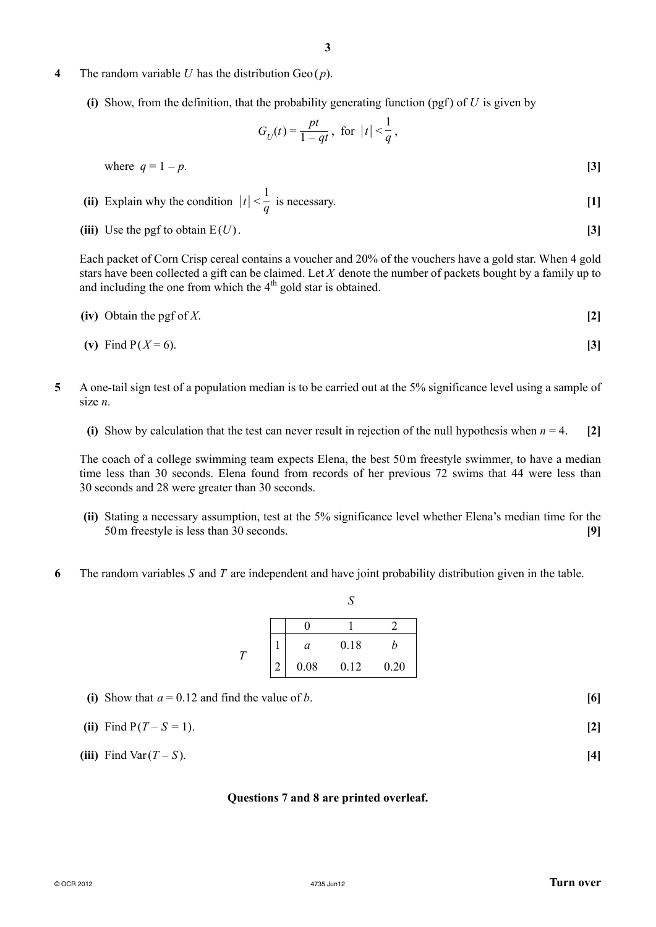#### **4** The random variable *U* has the distribution Geo ( *p*).

**(i)** Show, from the definition, that the probability generating function (pgf) of  $U$  is given by

$$
G_U(t) = \frac{pt}{1 - qt}, \text{ for } |t| < \frac{1}{q},
$$

where  $q = 1 - p$ . **[3]** 

(ii) Explain why the condition 
$$
|t| < \frac{1}{q}
$$
 is necessary.

**(iii)** Use the pgf to obtain  $E(U)$ . **[3]** 

Each packet of Corn Crisp cereal contains a voucher and 20% of the vouchers have a gold star. When 4 gold stars have been collected a gift can be claimed. Let *X* denote the number of packets bought by a family up to and including the one from which the  $4<sup>th</sup>$  gold star is obtained.

$$
(iv) Obtain the pgf of X.
$$
 [2]

(v) Find 
$$
P(X = 6)
$$
. [3]

- **5** A one-tail sign test of a population median is to be carried out at the 5% significance level using a sample of size *n*.
	- **(i)** Show by calculation that the test can never result in rejection of the null hypothesis when  $n = 4$ . [2]

The coach of a college swimming team expects Elena, the best 50 m freestyle swimmer, to have a median time less than 30 seconds. Elena found from records of her previous 72 swims that 44 were less than 30 seconds and 28 were greater than 30 seconds.

 **(ii)** Stating a necessary assumption, test at the 5% significance level whether Elena's median time for the 50 m freestyle is less than 30 seconds. **[9]**

 $\mathbf{C}^{\prime}$ 

**6** The random variables *S* and *T* are independent and have joint probability distribution given in the table.

|  |               |      | ι٦   |      |
|--|---------------|------|------|------|
|  |               |      |      |      |
|  |               | a    | 0.18 | n    |
|  | $\mathcal{D}$ | 0.08 | 0.12 | 0.20 |

| (i) Show that $a = 0.12$ and find the value of b. | [6] |
|---------------------------------------------------|-----|
| (ii) Find $P(T - S = 1)$ .                        |     |

**(iii)** Find Var  $(T - S)$ . **[4]** 

#### **Questions 7 and 8 are printed overleaf.**